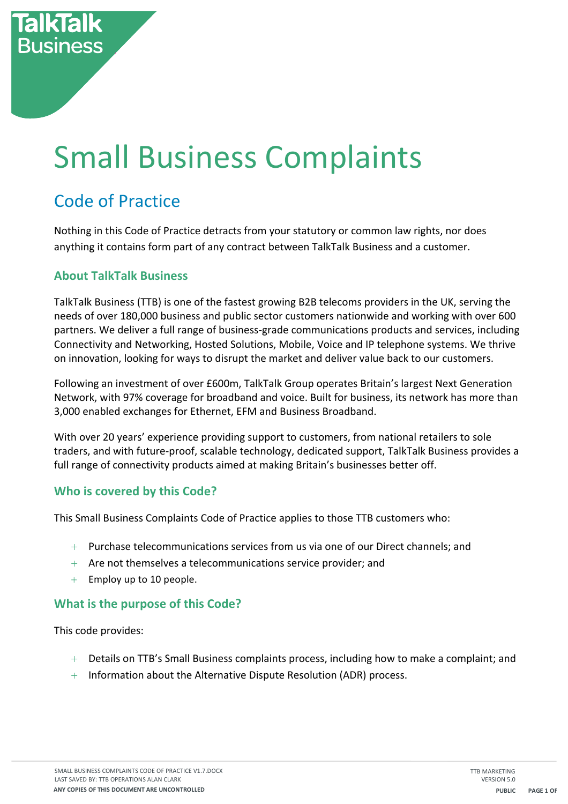# **Small Business Complaints**

# Code of Practice

**Business** 

Nothing in this Code of Practice detracts from your statutory or common law rights, nor does anything it contains form part of any contract between TalkTalk Business and a customer.

### **About TalkTalk Business**

TalkTalk Business (TTB) is one of the fastest growing B2B telecoms providers in the UK, serving the needs of over 180,000 business and public sector customers nationwide and working with over 600 partners. We deliver a full range of business-grade communications products and services, including Connectivity and Networking, Hosted Solutions, Mobile, Voice and IP telephone systems. We thrive on innovation, looking for ways to disrupt the market and deliver value back to our customers.

Following an investment of over £600m, TalkTalk Group operates Britain's largest Next Generation Network, with 97% coverage for broadband and voice. Built for business, its network has more than 3,000 enabled exchanges for Ethernet, EFM and Business Broadband.

With over 20 years' experience providing support to customers, from national retailers to sole traders, and with future-proof, scalable technology, dedicated support, TalkTalk Business provides a full range of connectivity products aimed at making Britain's businesses better off.

#### **Who is covered by this Code?**

This Small Business Complaints Code of Practice applies to those TTB customers who:

- $+$  Purchase telecommunications services from us via one of our Direct channels; and
- $+$  Are not themselves a telecommunications service provider; and
- $+$  Employ up to 10 people.

#### **What is the purpose of this Code?**

This code provides:

- $+$  Details on TTB's Small Business complaints process, including how to make a complaint; and
- $+$  Information about the Alternative Dispute Resolution (ADR) process.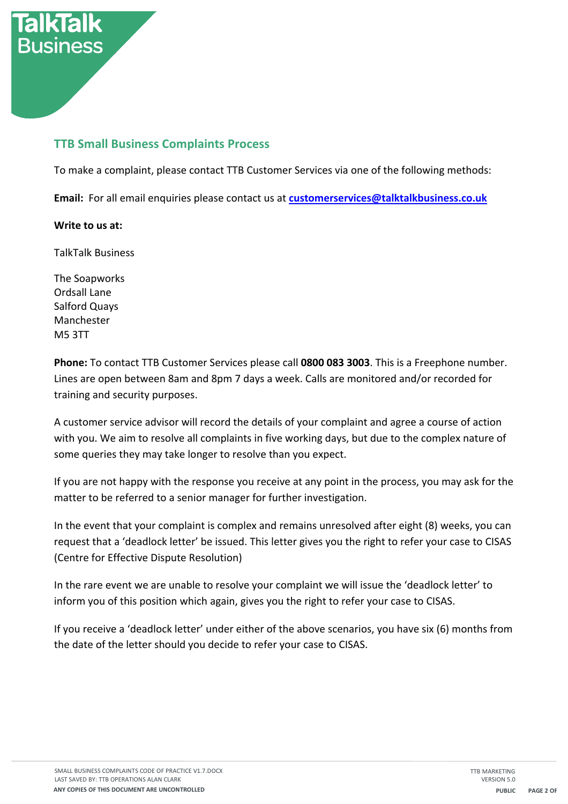

To make a complaint, please contact TTB Customer Services via one of the following methods:

**Email:** For all email enquiries please contact us at **customerservices@talktalkbusiness.co.uk** 

#### **Write to us at:**

**Business** 

TalkTalk Business

The Soapworks Ordsall Lane Salford Quays Manchester M5 3TT

**Phone:** To contact TTB Customer Services please call **0800 083 3003**. This is a Freephone number. Lines are open between 8am and 8pm 7 days a week. Calls are monitored and/or recorded for training and security purposes.

A customer service advisor will record the details of your complaint and agree a course of action with you. We aim to resolve all complaints in five working days, but due to the complex nature of some queries they may take longer to resolve than you expect.

If you are not happy with the response you receive at any point in the process, you may ask for the matter to be referred to a senior manager for further investigation.

In the event that your complaint is complex and remains unresolved after eight (8) weeks, you can request that a 'deadlock letter' be issued. This letter gives you the right to refer your case to CISAS (Centre for Effective Dispute Resolution)

In the rare event we are unable to resolve your complaint we will issue the 'deadlock letter' to inform you of this position which again, gives you the right to refer your case to CISAS.

If you receive a 'deadlock letter' under either of the above scenarios, you have six (6) months from the date of the letter should you decide to refer your case to CISAS.